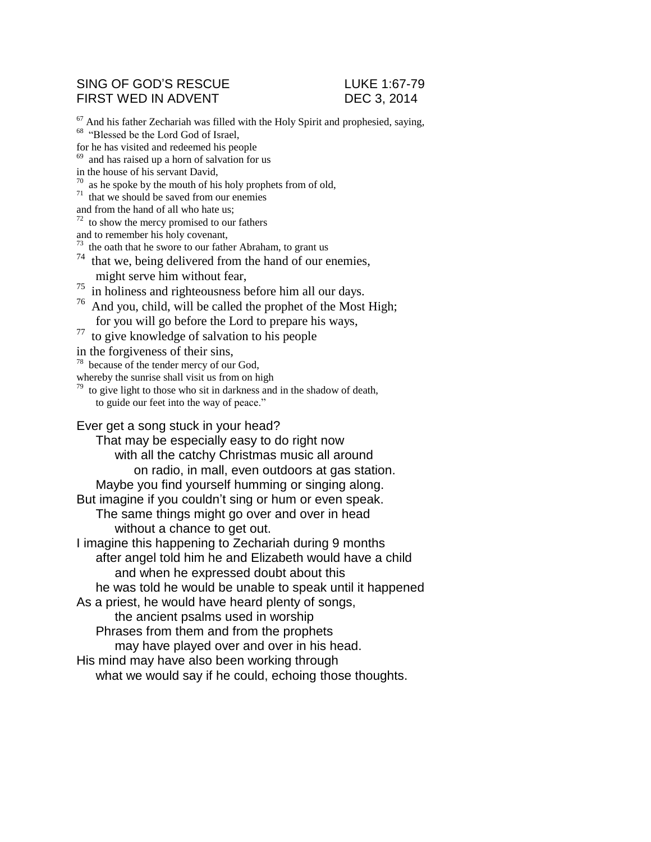## SING OF GOD'S RESCUE LUKE 1:67-79 FIRST WED IN ADVENT DEC 3, 2014

- $67$  And his father Zechariah was filled with the Holy Spirit and prophesied, saying, <sup>68</sup> "Blessed be the Lord God of Israel,
- for he has visited and redeemed his people
- 69 and has raised up a horn of salvation for us
- in the house of his servant David,
- $70$  as he spoke by the mouth of his holy prophets from of old,
- 71 that we should be saved from our enemies
- and from the hand of all who hate us;
- $72$  to show the mercy promised to our fathers
- and to remember his holy covenant,
- $73$  the oath that he swore to our father Abraham, to grant us
- <sup>74</sup> that we, being delivered from the hand of our enemies, might serve him without fear,
- $\frac{75}{10}$  in holiness and righteousness before him all our days.
- $76$  And you, child, will be called the prophet of the Most High; for you will go before the Lord to prepare his ways,
- <sup>77</sup> to give knowledge of salvation to his people
- in the forgiveness of their sins,
- <sup>78</sup> because of the tender mercy of our God,
- whereby the sunrise shall visit us from on high
- $79$  to give light to those who sit in darkness and in the shadow of death, to guide our feet into the way of peace."

Ever get a song stuck in your head?

That may be especially easy to do right now with all the catchy Christmas music all around on radio, in mall, even outdoors at gas station. Maybe you find yourself humming or singing along. But imagine if you couldn't sing or hum or even speak. The same things might go over and over in head without a chance to get out. I imagine this happening to Zechariah during 9 months after angel told him he and Elizabeth would have a child and when he expressed doubt about this he was told he would be unable to speak until it happened As a priest, he would have heard plenty of songs, the ancient psalms used in worship Phrases from them and from the prophets may have played over and over in his head. His mind may have also been working through what we would say if he could, echoing those thoughts.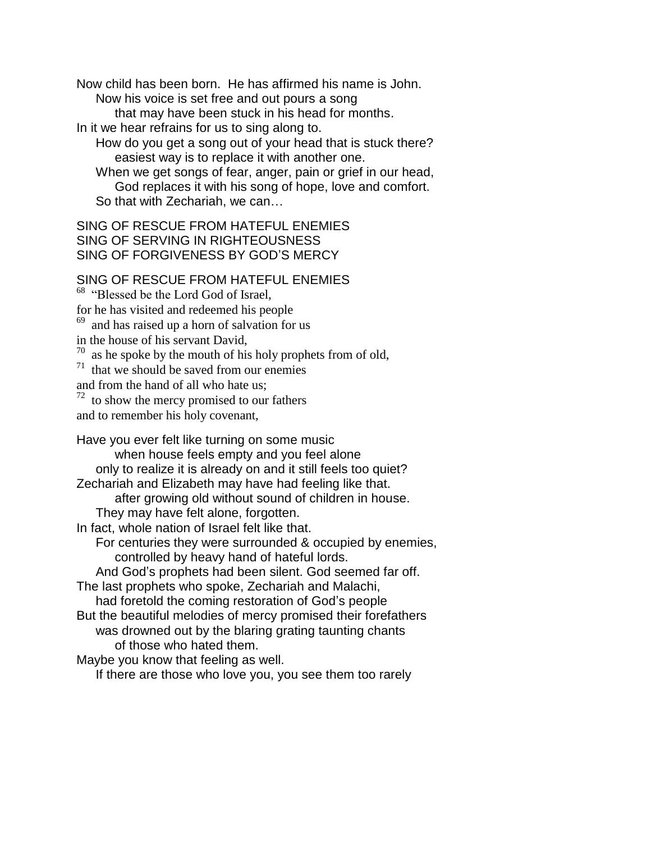Now child has been born. He has affirmed his name is John. Now his voice is set free and out pours a song

that may have been stuck in his head for months.

In it we hear refrains for us to sing along to.

How do you get a song out of your head that is stuck there? easiest way is to replace it with another one.

When we get songs of fear, anger, pain or grief in our head, God replaces it with his song of hope, love and comfort. So that with Zechariah, we can…

SING OF RESCUE FROM HATEFUL ENEMIES SING OF SERVING IN RIGHTEOUSNESS SING OF FORGIVENESS BY GOD'S MERCY

SING OF RESCUE FROM HATEFUL ENEMIES

<sup>68</sup> "Blessed be the Lord God of Israel,

for he has visited and redeemed his people

69 and has raised up a horn of salvation for us

in the house of his servant David,

 $70^{\circ}$  as he spoke by the mouth of his holy prophets from of old,

<sup>71</sup> that we should be saved from our enemies

and from the hand of all who hate us;

 $72$  to show the mercy promised to our fathers

and to remember his holy covenant,

Have you ever felt like turning on some music when house feels empty and you feel alone only to realize it is already on and it still feels too quiet? Zechariah and Elizabeth may have had feeling like that. after growing old without sound of children in house.

They may have felt alone, forgotten.

In fact, whole nation of Israel felt like that.

For centuries they were surrounded & occupied by enemies, controlled by heavy hand of hateful lords.

And God's prophets had been silent. God seemed far off.

The last prophets who spoke, Zechariah and Malachi,

had foretold the coming restoration of God's people

But the beautiful melodies of mercy promised their forefathers was drowned out by the blaring grating taunting chants

of those who hated them.

Maybe you know that feeling as well.

If there are those who love you, you see them too rarely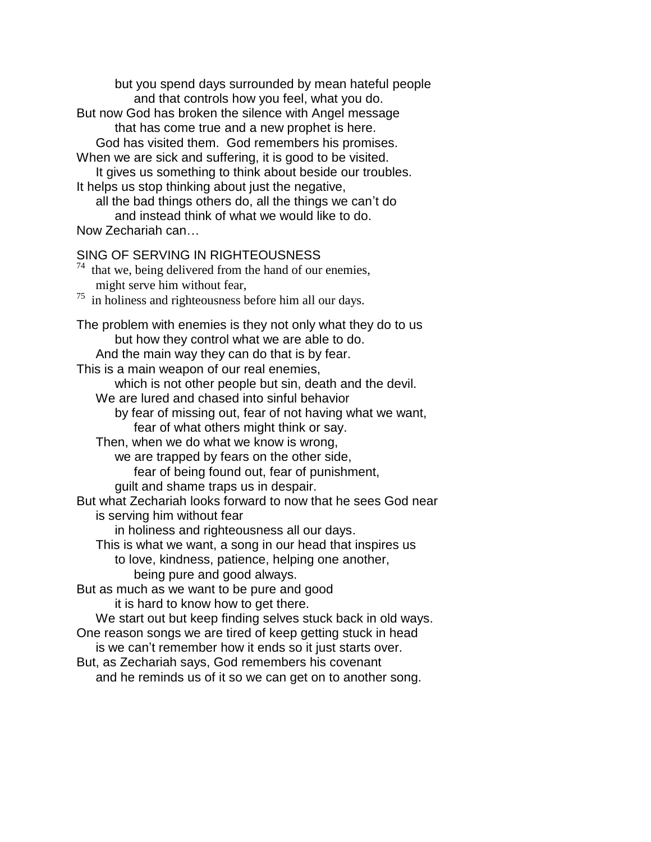but you spend days surrounded by mean hateful people and that controls how you feel, what you do.

But now God has broken the silence with Angel message that has come true and a new prophet is here.

God has visited them. God remembers his promises.

When we are sick and suffering, it is good to be visited. It gives us something to think about beside our troubles.

It helps us stop thinking about just the negative,

all the bad things others do, all the things we can't do and instead think of what we would like to do.

Now Zechariah can…

## SING OF SERVING IN RIGHTEOUSNESS

 $74$  that we, being delivered from the hand of our enemies, might serve him without fear,

 $\frac{75}{10}$  in holiness and righteousness before him all our days.

The problem with enemies is they not only what they do to us but how they control what we are able to do.

And the main way they can do that is by fear.

This is a main weapon of our real enemies,

which is not other people but sin, death and the devil. We are lured and chased into sinful behavior

- by fear of missing out, fear of not having what we want, fear of what others might think or say.
- Then, when we do what we know is wrong,

we are trapped by fears on the other side,

fear of being found out, fear of punishment,

guilt and shame traps us in despair.

But what Zechariah looks forward to now that he sees God near is serving him without fear

in holiness and righteousness all our days.

This is what we want, a song in our head that inspires us to love, kindness, patience, helping one another,

being pure and good always.

But as much as we want to be pure and good

it is hard to know how to get there.

We start out but keep finding selves stuck back in old ways. One reason songs we are tired of keep getting stuck in head

is we can't remember how it ends so it just starts over.

But, as Zechariah says, God remembers his covenant

and he reminds us of it so we can get on to another song.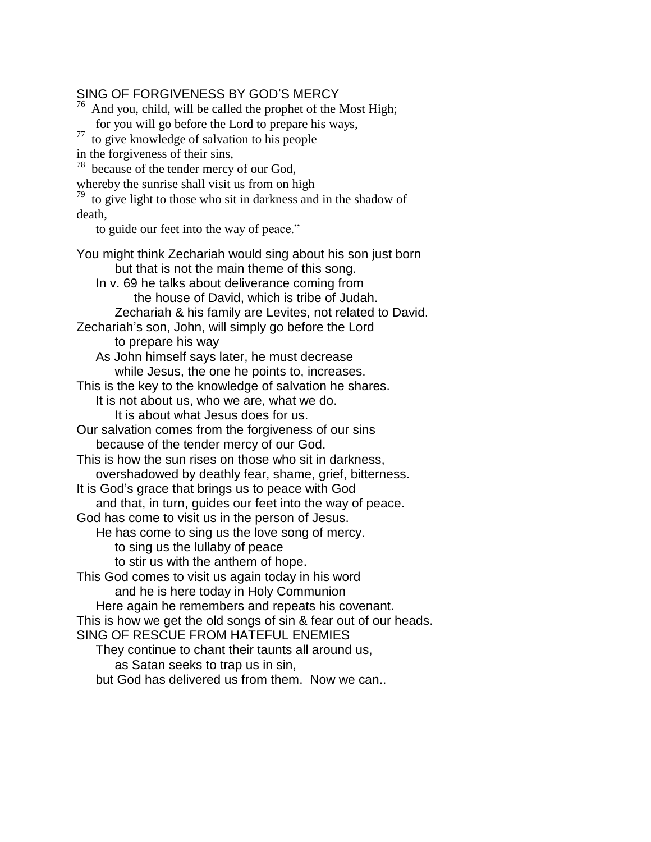## SING OF FORGIVENESS BY GOD'S MERCY

 $76$  And you, child, will be called the prophet of the Most High; for you will go before the Lord to prepare his ways, <sup>77</sup> to give knowledge of salvation to his people in the forgiveness of their sins, <sup>78</sup> because of the tender mercy of our God, whereby the sunrise shall visit us from on high  $79$  to give light to those who sit in darkness and in the shadow of death, to guide our feet into the way of peace." You might think Zechariah would sing about his son just born but that is not the main theme of this song. In v. 69 he talks about deliverance coming from the house of David, which is tribe of Judah. Zechariah & his family are Levites, not related to David. Zechariah's son, John, will simply go before the Lord to prepare his way As John himself says later, he must decrease while Jesus, the one he points to, increases. This is the key to the knowledge of salvation he shares. It is not about us, who we are, what we do. It is about what Jesus does for us. Our salvation comes from the forgiveness of our sins because of the tender mercy of our God. This is how the sun rises on those who sit in darkness, overshadowed by deathly fear, shame, grief, bitterness. It is God's grace that brings us to peace with God and that, in turn, guides our feet into the way of peace. God has come to visit us in the person of Jesus. He has come to sing us the love song of mercy. to sing us the lullaby of peace to stir us with the anthem of hope. This God comes to visit us again today in his word and he is here today in Holy Communion Here again he remembers and repeats his covenant. This is how we get the old songs of sin & fear out of our heads. SING OF RESCUE FROM HATEFUL ENEMIES They continue to chant their taunts all around us, as Satan seeks to trap us in sin, but God has delivered us from them. Now we can..